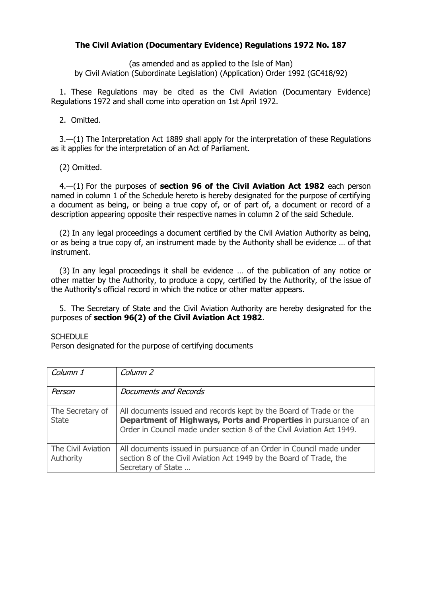## **The Civil Aviation (Documentary Evidence) Regulations 1972 No. 187**

(as amended and as applied to the Isle of Man) by Civil Aviation (Subordinate Legislation) (Application) Order 1992 (GC418/92)

1. These Regulations may be cited as the Civil Aviation (Documentary Evidence) Regulations 1972 and shall come into operation on 1st April 1972.

2. Omitted.

3.—(1) The Interpretation Act 1889 shall apply for the interpretation of these Regulations as it applies for the interpretation of an Act of Parliament.

(2) Omitted.

4.—(1) For the purposes of **section 96 of the Civil Aviation Act 1982** each person named in column 1 of the Schedule hereto is hereby designated for the purpose of certifying a document as being, or being a true copy of, or of part of, a document or record of a description appearing opposite their respective names in column 2 of the said Schedule.

(2) In any legal proceedings a document certified by the Civil Aviation Authority as being, or as being a true copy of, an instrument made by the Authority shall be evidence … of that instrument.

(3) In any legal proceedings it shall be evidence … of the publication of any notice or other matter by the Authority, to produce a copy, certified by the Authority, of the issue of the Authority's official record in which the notice or other matter appears.

5. The Secretary of State and the Civil Aviation Authority are hereby designated for the purposes of **section 96(2) of the Civil Aviation Act 1982**.

## **SCHEDULE**

Person designated for the purpose of certifying documents

| Column 1                         | Column 2                                                                                                                                                                                                       |
|----------------------------------|----------------------------------------------------------------------------------------------------------------------------------------------------------------------------------------------------------------|
| Person                           | Documents and Records                                                                                                                                                                                          |
| The Secretary of<br><b>State</b> | All documents issued and records kept by the Board of Trade or the<br>Department of Highways, Ports and Properties in pursuance of an<br>Order in Council made under section 8 of the Civil Aviation Act 1949. |
| The Civil Aviation<br>Authority  | All documents issued in pursuance of an Order in Council made under<br>section 8 of the Civil Aviation Act 1949 by the Board of Trade, the<br>Secretary of State                                               |